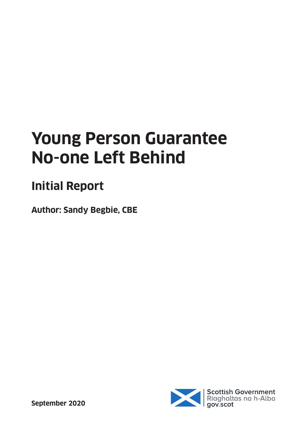# **Young Person Guarantee No-one Left Behind**

# **Initial Report**

**Author: Sandy Begbie, CBE**

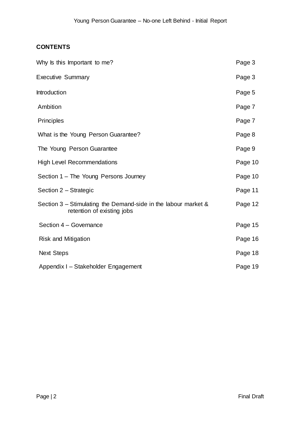# **CONTENTS**

| Why Is this Important to me?                                                                      | Page 3  |
|---------------------------------------------------------------------------------------------------|---------|
| <b>Executive Summary</b>                                                                          | Page 3  |
| Introduction                                                                                      | Page 5  |
| Ambition                                                                                          | Page 7  |
| <b>Principles</b>                                                                                 | Page 7  |
| What is the Young Person Guarantee?                                                               | Page 8  |
| The Young Person Guarantee                                                                        | Page 9  |
| <b>High Level Recommendations</b>                                                                 | Page 10 |
| Section 1 – The Young Persons Journey                                                             | Page 10 |
| Section 2 - Strategic                                                                             | Page 11 |
| Section $3$ – Stimulating the Demand-side in the labour market $\&$<br>retention of existing jobs | Page 12 |
| Section 4 - Governance                                                                            | Page 15 |
| <b>Risk and Mitigation</b>                                                                        | Page 16 |
| <b>Next Steps</b>                                                                                 | Page 18 |
| Appendix I - Stakeholder Engagement                                                               | Page 19 |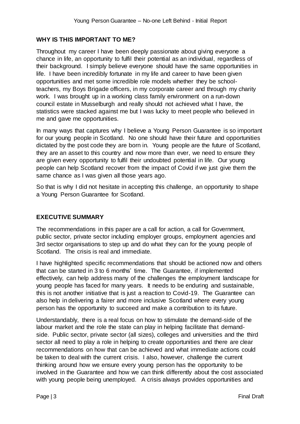### **WHY IS THIS IMPORTANT TO ME?**

Throughout my career I have been deeply passionate about giving everyone a chance in life, an opportunity to fulfil their potential as an individual, regardless of their background. I simply believe everyone should have the same opportunities in life. I have been incredibly fortunate in my life and career to have been given opportunities and met some incredible role models whether they be schoolteachers, my Boys Brigade officers, in my corporate career and through my charity work. I was brought up in a working class family environment on a run-down council estate in Musselburgh and really should not achieved what I have, the statistics were stacked against me but I was lucky to meet people who believed in me and gave me opportunities.

In many ways that captures why I believe a Young Person Guarantee is so important for our young people in Scotland. No one should have their future and opportunities dictated by the post code they are born in. Young people are the future of Scotland, they are an asset to this country and now more than ever, we need to ensure they are given every opportunity to fulfil their undoubted potential in life. Our young people can help Scotland recover from the impact of Covid if we just give them the same chance as I was given all those years ago.

So that is why I did not hesitate in accepting this challenge, an opportunity to shape a Young Person Guarantee for Scotland.

# **EXECUTIVE SUMMARY**

The recommendations in this paper are a call for action, a call for Government, public sector, private sector including employer groups, employment agencies and 3rd sector organisations to step up and do what they can for the young people of Scotland. The crisis is real and immediate.

I have highlighted specific recommendations that should be actioned now and others that can be started in 3 to 6 months' time. The Guarantee, if implemented effectively, can help address many of the challenges the employment landscape for young people has faced for many years. It needs to be enduring and sustainable, this is not another initiative that is just a reaction to Covid-19. The Guarantee can also help in delivering a fairer and more inclusive Scotland where every young person has the opportunity to succeed and make a contribution to its future.

Understandably, there is a real focus on how to stimulate the demand-side of the labour market and the role the state can play in helping facilitate that demandside. Public sector, private sector (all sizes), colleges and universities and the third sector all need to play a role in helping to create opportunities and there are clear recommendations on how that can be achieved and what immediate actions could be taken to deal with the current crisis. I also, however, challenge the current thinking around how we ensure every young person has the opportunity to be involved in the Guarantee and how we can think differently about the cost associated with young people being unemployed. A crisis always provides opportunities and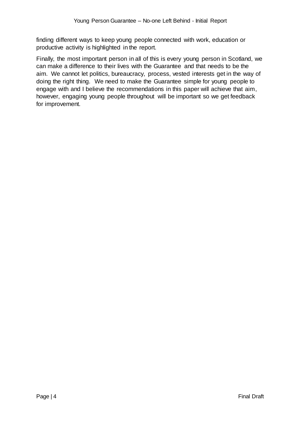finding different ways to keep young people connected with work, education or productive activity is highlighted in the report.

Finally, the most important person in all of this is every young person in Scotland, we can make a difference to their lives with the Guarantee and that needs to be the aim. We cannot let politics, bureaucracy, process, vested interests get in the way of doing the right thing. We need to make the Guarantee simple for young people to engage with and I believe the recommendations in this paper will achieve that aim, however, engaging young people throughout will be important so we get feedback for improvement.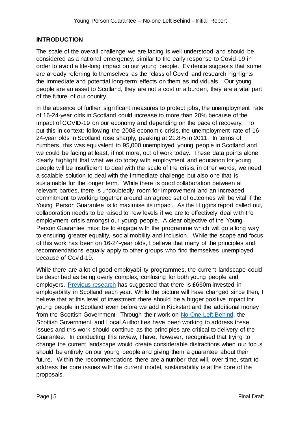# **INTRODUCTION**

The scale of the overall challenge we are facing is well understood and should be considered as a national emergency, similar to the early response to Covid-19 in order to avoid a life-long impact on our young people. Evidence suggests that some are already referring to themselves as the 'class of Covid' and research highlights the immediate and potential long-term effects on them as individuals. Our young people are an asset to Scotland, they are not a cost or a burden, they are a vital part of the future of our country.

In the absence of further significant measures to protect jobs, the unemployment rate of 16-24-year olds in Scotland could increase to more than 20% because of the impact of COVID-19 on our economy and depending on the pace of recovery. To put this in context; following the 2008 economic crisis, the unemployment rate of 16- 24-year olds in Scotland rose sharply, peaking at 21.8% in 2011. In terms of numbers, this was equivalent to 95,000 unemployed young people in Scotland and we could be facing at least, if not more, out of work today. These data points alone clearly highlight that what we do today with employment and education for young people will be insufficient to deal with the scale of the crisis, in other words, we need a scalable solution to deal with the immediate challenge but also one that is sustainable for the longer term. While there is good collaboration between all relevant parties, there is undoubtedly room for improvement and an increased commitment to working together around an agreed set of outcomes will be vital if the Young Person Guarantee is to maximise its impact. As the Higgins report called out, collaboration needs to be raised to new levels if we are to effectively deal with the employment crisis amongst our young people. A clear objective of the Young Person Guarantee must be to engage with the programme which will go a long way to ensuring greater equality, social mobility and inclusion. While the scope and focus of this work has been on 16-24-year olds, I believe that many of the principles and recommendations equally apply to other groups who find themselves unemployed because of Covid-19.

While there are a lot of good employability programmes, the current landscape could be described as being overly complex, confusing for both young people and employers. Previous research has suggested that there is £660m invested in employability in Scotland each year. While the picture will have changed since then, I believe that at this level of investment there should be a bigger positive impact for young people in Scotland even before we add in Kickstart and the additional money from the Scottish Government. Through their work on No [One Left Behind,](https://www.gov.scot/publications/one-left-behind-review-employability-services/) the Scottish Government and Local Authorities have been working to address these issues and this work should continue as the principles are critical to delivery of the Guarantee. In conducting this review, I have, however, recognised that trying to change the current landscape would create considerable distractions when our focus should be entirely on our young people and giving them a guarantee about their future. Within the recommendations there are a number that will, over time, start to address the core issues with the current model, sustainability is at the core of the proposals.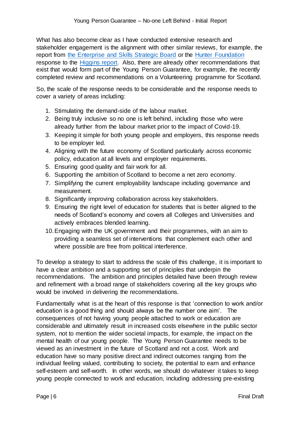What has also become clear as I have conducted extensive research and stakeholder engagement is the alignment with other similar reviews, for example, the report from [the Enterprise and Skills Strategic Board](https://www.gov.scot/publications/report-enterprise-skills-strategic-board-sub-group-measures-mitigate-labour-market-impacts-covid-19/) or the [Hunter Foundation](https://www.thehunterfoundation.co.uk/response-to-benny-higgins-economic-recovery-report/) response to the [Higgins report.](https://www.gov.scot/publications/towards-robust-resilient-wellbeing-economy-scotland-report-advisory-group-economic-recovery/) Also, there are already other recommendations that exist that would form part of the Young Person Guarantee, for example, the recently completed review and recommendations on a Volunteering programme for Scotland.

So, the scale of the response needs to be considerable and the response needs to cover a variety of areas including:

- 1. Stimulating the demand-side of the labour market.
- 2. Being truly inclusive so no one is left behind, including those who were already further from the labour market prior to the impact of Covid-19.
- 3. Keeping it simple for both young people and employers, this response needs to be employer led.
- 4. Aligning with the future economy of Scotland particularly across economic policy, education at all levels and employer requirements.
- 5. Ensuring good quality and fair work for all.
- 6. Supporting the ambition of Scotland to become a net zero economy.
- 7. Simplifying the current employability landscape including governance and measurement.
- 8. Significantly improving collaboration across key stakeholders.
- 9. Ensuring the right level of education for students that is better aligned to the needs of Scotland's economy and covers all Colleges and Universities and actively embraces blended learning.
- 10.Engaging with the UK government and their programmes, with an aim to providing a seamless set of interventions that complement each other and where possible are free from political interference.

To develop a strategy to start to address the scale of this challenge, it is important to have a clear ambition and a supporting set of principles that underpin the recommendations. The ambition and principles detailed have been through review and refinement with a broad range of stakeholders covering all the key groups who would be involved in delivering the recommendations.

Fundamentally what is at the heart of this response is that 'connection to work and/or education is a good thing and should always be the number one aim'. The consequences of not having young people attached to work or education are considerable and ultimately result in increased costs elsewhere in the public sector system, not to mention the wider societal impacts, for example, the impact on the mental health of our young people. The Young Person Guarantee needs to be viewed as an investment in the future of Scotland and not a cost. Work and education have so many positive direct and indirect outcomes ranging from the individual feeling valued, contributing to society, the potential to earn and enhance self-esteem and self-worth. In other words, we should do whatever it takes to keep young people connected to work and education, including addressing pre-existing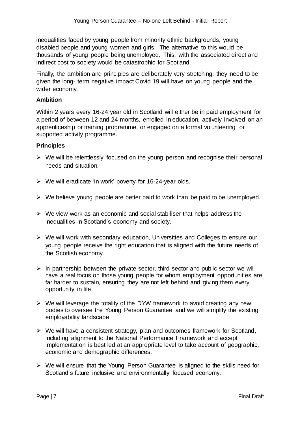inequalities faced by young people from minority ethnic backgrounds, young disabled people and young women and girls. The alternative to this would be thousands of young people being unemployed. This, with the associated direct and indirect cost to society would be catastrophic for Scotland.

Finally, the ambition and principles are deliberately very stretching, they need to be given the long- term negative impact Covid 19 will have on young people and the wider economy.

#### **Ambition**

Within 2 years every 16-24 year old in Scotland will either be in paid employment for a period of between 12 and 24 months, enrolled in education, actively involved on an apprenticeship or training programme, or engaged on a formal volunteering or supported activity programme.

### **Principles**

- $\triangleright$  We will be relentlessly focused on the young person and recognise their personal needs and situation.
- $\triangleright$  We will eradicate 'in work' poverty for 16-24-year olds.
- $\triangleright$  We believe young people are better paid to work than be paid to be unemployed.
- $\triangleright$  We view work as an economic and social stabiliser that helps address the inequalities in Scotland's economy and society.
- $\triangleright$  We will work with secondary education, Universities and Colleges to ensure our young people receive the right education that is aligned with the future needs of the Scottish economy.
- $\triangleright$  In partnership between the private sector, third sector and public sector we will have a real focus on those young people for whom employment opportunities are far harder to sustain, ensuring they are not left behind and giving them every opportunity in life.
- $\triangleright$  We will leverage the totality of the DYW framework to avoid creating any new bodies to oversee the Young Person Guarantee and we will simplify the existing employability landscape.
- $\triangleright$  We will have a consistent strategy, plan and outcomes framework for Scotland, including alignment to the National Performance Framework and accept implementation is best led at an appropriate level to take account of geographic, economic and demographic differences.
- $\triangleright$  We will ensure that the Young Person Guarantee is aligned to the skills need for Scotland's future inclusive and environmentally focused economy.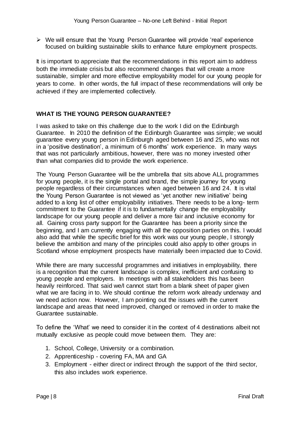$\triangleright$  We will ensure that the Young Person Guarantee will provide 'real' experience focused on building sustainable skills to enhance future employment prospects.

It is important to appreciate that the recommendations in this report aim to address both the immediate crisis but also recommend changes that will create a more sustainable, simpler and more effective employability model for our young people for years to come. In other words, the full impact of these recommendations will only be achieved if they are implemented collectively.

### **WHAT IS THE YOUNG PERSON GUARANTEE?**

I was asked to take on this challenge due to the work I did on the Edinburgh Guarantee. In 2010 the definition of the Edinburgh Guarantee was simple; we would guarantee every young person in Edinburgh aged between 16 and 25, who was not in a 'positive destination', a minimum of 6 months' work experience. In many ways that was not particularly ambitious, however, there was no money invested other than what companies did to provide the work experience.

The Young Person Guarantee will be the umbrella that sits above ALL programmes for young people, it is the single portal and brand, the simple journey for young people regardless of their circumstances when aged between 16 and 24. It is vital the Young Person Guarantee is not viewed as 'yet another new initiative' being added to a long list of other employability initiatives. There needs to be a long- term commitment to the Guarantee if it is to fundamentally change the employability landscape for our young people and deliver a more fair and inclusive economy for all. Gaining cross party support for the Guarantee has been a priority since the beginning, and I am currently engaging with all the opposition parties on this. I would also add that while the specific brief for this work was our young people, I strongly believe the ambition and many of the principles could also apply to other groups in Scotland whose employment prospects have materially been impacted due to Covid.

While there are many successful programmes and initiatives in employability, there is a recognition that the current landscape is complex, inefficient and confusing to young people and employers. In meetings with all stakeholders this has been heavily reinforced. That said we/I cannot start from a blank sheet of paper given what we are facing in to. We should continue the reform work already underway and we need action now. However, I am pointing out the issues with the current landscape and areas that need improved, changed or removed in order to make the Guarantee sustainable.

To define the 'What' we need to consider it in the context of 4 destinations albeit not mutually exclusive as people could move between them. They are:

- 1. School, College, University or a combination.
- 2. Apprenticeship covering FA, MA and GA
- 3. Employment either direct or indirect through the support of the third sector, this also includes work experience.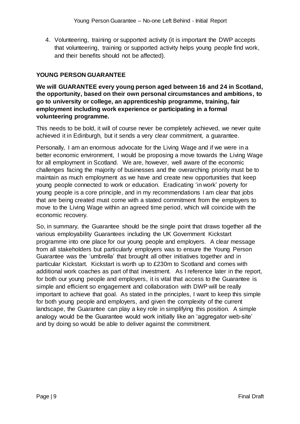4. Volunteering, training or supported activity (it is important the DWP accepts that volunteering, training or supported activity helps young people find work, and their benefits should not be affected).

# **YOUNG PERSON GUARANTEE**

**We will GUARANTEE every young person aged between 16 and 24 in Scotland, the opportunity, based on their own personal circumstances and ambitions, to go to university or college, an apprenticeship programme, training, fair employment including work experience or participating in a formal volunteering programme.**

This needs to be bold, it will of course never be completely achieved, we never quite achieved it in Edinburgh, but it sends a very clear commitment, a guarantee.

Personally, I am an enormous advocate for the Living Wage and if we were in a better economic environment, I would be proposing a move towards the Living Wage for all employment in Scotland. We are, however, well aware of the economic challenges facing the majority of businesses and the overarching priority must be to maintain as much employment as we have and create new opportunities that keep young people connected to work or education. Eradicating 'in work' poverty for young people is a core principle, and in my recommendations I am clear that jobs that are being created must come with a stated commitment from the employers to move to the Living Wage within an agreed time period, which will coincide with the economic recovery.

So, in summary, the Guarantee should be the single point that draws together all the various employability Guarantees including the UK Government Kickstart programme into one place for our young people and employers. A clear message from all stakeholders but particularly employers was to ensure the Young Person Guarantee was the 'umbrella' that brought all other initiatives together and in particular Kickstart. Kickstart is worth up to £230m to Scotland and comes with additional work coaches as part of that investment. As I reference later in the report, for both our young people and employers, it is vital that access to the Guarantee is simple and efficient so engagement and collaboration with DWP will be really important to achieve that goal. As stated in the principles, I want to keep this simple for both young people and employers, and given the complexity of the current landscape, the Guarantee can play a key role in simplifying this position. A simple analogy would be the Guarantee would work initially like an 'aggregator web-site' and by doing so would be able to deliver against the commitment.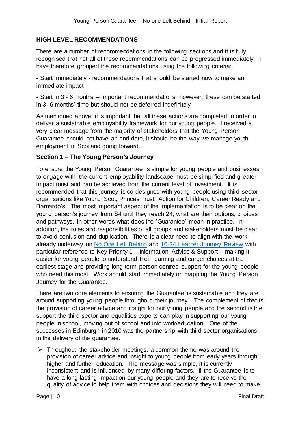# **HIGH LEVEL RECOMMENDATIONS**

There are a number of recommendations in the following sections and it is fully recognised that not all of these recommendations can be progressed immediately. I have therefore grouped the recommendations using the following criteria:

- Start immediately - recommendations that should be started now to make an immediate impact

- Start in 3 - 6 months – important recommendations, however, these can be started in 3- 6 months' time but should not be deferred indefinitely.

As mentioned above, it is important that all these actions are completed in order to deliver a sustainable employability framework for our young people. I received a very clear message from the majority of stakeholders that the Young Person Guarantee should not have an end date, it should be the way we manage youth employment in Scotland going forward.

#### **Section 1 – The Young Person's Journey**

To ensure the Young Person Guarantee is simple for young people and businesses to engage with, the current employability landscape must be simplified and greater impact must and can be achieved from the current level of investment. It is recommended that this journey is co-designed with young people using third sector organisations like Young Scot, Princes Trust, Action for Children, Career Ready and Barnardo's. The most important aspect of the implementation is to be clear on the young person's journey from S4 until they reach 24; what are their options, choices and pathways, in other words what does the 'Guarantee' mean in practice. In addition, the roles and responsibilities of all groups and stakeholders must be clear to avoid confusion and duplication. There is a clear need to align with the work already underway on [No One Left Behind](https://www.gov.scot/publications/one-left-behind-review-employability-services/) and [16-24 Learner Journey Review](https://www.gov.scot/publications/15-24-learner-journey-review-9781788518741/) with particular reference to Key Priority 1 – Information Advice & Support – making it easier for young people to understand their learning and career choices at the earliest stage and providing long-term person-centred support for the young people who need this most. Work should start immediately on mapping the Young Person Journey for the Guarantee.

There are two core elements to ensuring the Guarantee is sustainable and they are around supporting young people throughout their journey. The complement of that is the provision of career advice and insight for our young people and the second is the support the third sector and equalities experts can play in supporting our young people in school, moving out of school and into work/education. One of the successes in Edinburgh in 2010 was the partnership with third sector organisations in the delivery of the guarantee.

 $\triangleright$  Throughout the stakeholder meetings, a common theme was around the provision of career advice and insight to young people from early years through higher and further education. The message was simple, it is currently inconsistent and is influenced by many differing factors. If the Guarantee is to have a long-lasting impact on our young people and they are to receive the quality of advice to help them with choices and decisions they will need to make,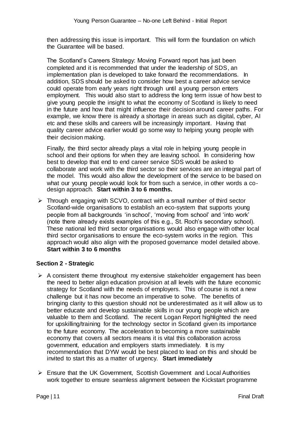then addressing this issue is important. This will form the foundation on which the Guarantee will be based.

The Scotland's Careers Strategy: Moving Forward report has just been completed and it is recommended that under the leadership of SDS, an implementation plan is developed to take forward the recommendations. In addition, SDS should be asked to consider how best a career advice service could operate from early years right through until a young person enters employment. This would also start to address the long term issue of how best to give young people the insight to what the economy of Scotland is likely to need in the future and how that might influence their decision around career paths. For example, we know there is already a shortage in areas such as digital, cyber, AI etc and these skills and careers will be increasingly important. Having that quality career advice earlier would go some way to helping young people with their decision making.

Finally, the third sector already plays a vital role in helping young people in school and their options for when they are leaving school. In considering how best to develop that end to end career service SDS would be asked to collaborate and work with the third sector so their services are an integral part of the model. This would also allow the development of the service to be based on what our young people would look for from such a service, in other words a codesign approach. **Start within 3 to 6 months.**

 $\triangleright$  Through engaging with SCVO, contract with a small number of third sector Scotland-wide organisations to establish an eco-system that supports young people from all backgrounds 'in school', 'moving from school' and 'into work' (note there already exists examples of this e.g., St. Roch's secondary school). These national led third sector organisations would also engage with other local third sector organisations to ensure the eco-system works in the region. This approach would also align with the proposed governance model detailed above. **Start within 3 to 6 months**

# **Section 2 - Strategic**

- $\triangleright$  A consistent theme throughout my extensive stakeholder engagement has been the need to better align education provision at all levels with the future economic strategy for Scotland with the needs of employers. This of course is not a new challenge but it has now become an imperative to solve. The benefits of bringing clarity to this question should not be underestimated as it will allow us to better educate and develop sustainable skills in our young people which are valuable to them and Scotland. The recent Logan Report highlighted the need for upskilling/training for the technology sector in Scotland given its importance to the future economy. The acceleration to becoming a more sustainable economy that covers all sectors means it is vital this collaboration across government, education and employers starts immediately. It is my recommendation that DYW would be best placed to lead on this and should be invited to start this as a matter of urgency. **Start immediately**
- $\triangleright$  Ensure that the UK Government, Scottish Government and Local Authorities work together to ensure seamless alignment between the Kickstart programme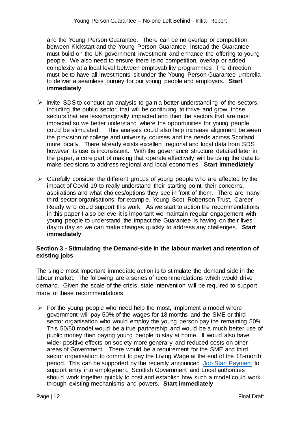and the Young Person Guarantee. There can be no overlap or competition between Kickstart and the Young Person Guarantee, instead the Guarantee must build on the UK government investment and enhance the offering to young people. We also need to ensure there is no competition, overlap or added complexity at a local level between employability programmes. The direction must be to have all investments sit under the Young Person Guarantee umbrella to deliver a seamless journey for our young people and employers. **Start immediately**

- $\triangleright$  Invite SDS to conduct an analysis to gain a better understanding of the sectors, including the public sector, that will be continuing to thrive and grow, those sectors that are less/marginally impacted and then the sectors that are most impacted so we better understand where the opportunities for young people could be stimulated. This analysis could also help increase alignment between the provision of college and university courses and the needs across Scotland more locally. There already exists excellent regional and local data from SDS however its use is inconsistent. With the governance structure detailed later in the paper, a core part of making that operate effectively will be using the data to make decisions to address regional and local economies. **Start immediately**
- $\triangleright$  Carefully consider the different groups of young people who are affected by the impact of Covid-19 to really understand their starting point, their concerns, aspirations and what choices/options they see in front of them. There are many third sector organisations, for example, Young Scot, Robertson Trust, Career Ready who could support this work. As we start to action the recommendations in this paper I also believe it is important we maintain regular engagement with young people to understand the impact the Guarantee is having on their lives day to day so we can make changes quickly to address any challenges. **Start immediately**

### **Section 3 - Stimulating the Demand-side in the labour market and retention of existing jobs**

The single most important immediate action is to stimulate the demand side in the labour market. The following are a series of recommendations which would drive demand. Given the scale of the crisis, state intervention will be required to support many of these recommendations.

 $\triangleright$  For the young people who need help the most, implement a model where government will pay 50% of the wages for 18 months and the SME or third sector organisation who would employ the young person pay the remaining 50%. This 50/50 model would be a true partnership and would be a much better use of public money than paying young people to stay at home. It would also have wider positive effects on society more generally and reduced costs on other areas of Government. There would be a requirement for the SME and third sector organisation to commit to pay the Living Wage at the end of the 18-month period. This can be supported by the recently announced [Job Start Payment](https://www.mygov.scot/job-start-payment/) to support entry into employment. Scottish Government and Local authorities should work together quickly to cost and establish how such a model could work through existing mechanisms and powers. **Start immediately**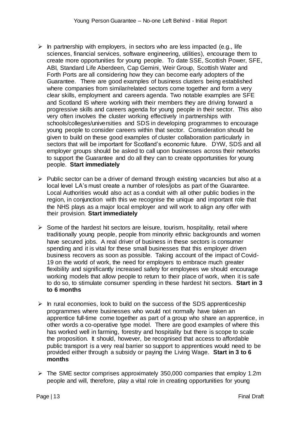- $\triangleright$  In partnership with employers, in sectors who are less impacted (e.g., life sciences, financial services, software engineering, utilities), encourage them to create more opportunities for young people. To date SSE, Scottish Power, SFE, ABI, Standard Life Aberdeen, Cap Gemini, Weir Group, Scottish Water and Forth Ports are all considering how they can become early adopters of the Guarantee. There are good examples of business clusters being established where companies from similar/related sectors come together and form a very clear skills, employment and careers agenda. Two notable examples are SFE and Scotland IS where working with their members they are driving forward a progressive skills and careers agenda for young people in their sector. This also very often involves the cluster working effectively in partnerships with schools/colleges/universities and SDS in developing programmes to encourage young people to consider careers within that sector. Consideration should be given to build on these good examples of cluster collaboration particularly in sectors that will be important for Scotland's economic future. DYW, SDS and all employer groups should be asked to call upon businesses across their networks to support the Guarantee and do all they can to create opportunities for young people. **Start immediately**
- $\triangleright$  Public sector can be a driver of demand through existing vacancies but also at a local level LA's must create a number of roles/jobs as part of the Guarantee. Local Authorities would also act as a conduit with all other public bodies in the region, in conjunction with this we recognise the unique and important role that the NHS plays as a major local employer and will work to align any offer with their provision. **Start immediately**
- $\triangleright$  Some of the hardest hit sectors are leisure, tourism, hospitality, retail where traditionally young people, people from minority ethnic backgrounds and women have secured jobs. A real driver of business in these sectors is consumer spending and it is vital for these small businesses that this employer driven business recovers as soon as possible. Taking account of the impact of Covid-19 on the world of work, the need for employers to embrace much greater flexibility and significantly increased safety for employees we should encourage working models that allow people to return to their place of work, when it is safe to do so, to stimulate consumer spending in these hardest hit sectors. **Start in 3 to 6 months**
- $\triangleright$  In rural economies, look to build on the success of the SDS apprenticeship programmes where businesses who would not normally have taken an apprentice full-time come together as part of a group who share an apprentice, in other words a co-operative type model. There are good examples of where this has worked well in farming, forestry and hospitality but there is scope to scale the proposition. It should, however, be recognised that access to affordable public transport is a very real barrier so support to apprentices would need to be provided either through a subsidy or paying the Living Wage. **Start in 3 to 6 months**
- The SME sector comprises approximately 350,000 companies that employ 1.2m people and will, therefore, play a vital role in creating opportunities for young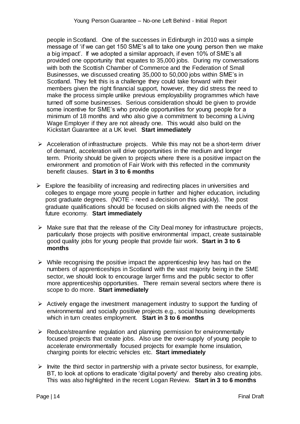people in Scotland. One of the successes in Edinburgh in 2010 was a simple message of 'if we can get 150 SME's all to take one young person then we make a big impact'. If we adopted a similar approach, if even 10% of SME's all provided one opportunity that equates to 35,000 jobs. During my conversations with both the Scottish Chamber of Commerce and the Federation of Small Businesses, we discussed creating 35,000 to 50,000 jobs within SME's in Scotland. They felt this is a challenge they could take forward with their members given the right financial support, however, they did stress the need to make the process simple unlike previous employability programmes which have turned off some businesses. Serious consideration should be given to provide some incentive for SME's who provide opportunities for young people for a minimum of 18 months and who also give a commitment to becoming a Living Wage Employer if they are not already one. This would also build on the Kickstart Guarantee at a UK level. **Start immediately**

- $\triangleright$  Acceleration of infrastructure projects. While this may not be a short-term driver of demand, acceleration will drive opportunities in the medium and longer term. Priority should be given to projects where there is a positive impact on the environment and promotion of Fair Work with this reflected in the community benefit clauses. **Start in 3 to 6 months**
- $\triangleright$  Explore the feasibility of increasing and redirecting places in universities and colleges to engage more young people in further and higher education, including post graduate degrees. (NOTE - need a decision on this quickly). The post graduate qualifications should be focused on skills aligned with the needs of the future economy. **Start immediately**
- $\triangleright$  Make sure that that the release of the City Deal money for infrastructure projects, particularly those projects with positive environmental impact, create sustainable good quality jobs for young people that provide fair work. **Start in 3 to 6 months**
- $\triangleright$  While recognising the positive impact the apprenticeship levy has had on the numbers of apprenticeships in Scotland with the vast majority being in the SME sector, we should look to encourage larger firms and the public sector to offer more apprenticeship opportunities. There remain several sectors where there is scope to do more. **Start immediately**
- $\triangleright$  Actively engage the investment management industry to support the funding of environmental and socially positive projects e.g., social housing developments which in turn creates employment. **Start in 3 to 6 months**
- $\triangleright$  Reduce/streamline regulation and planning permission for environmentally focused projects that create jobs. Also use the over-supply of young people to accelerate environmentally focused projects for example home insulation, charging points for electric vehicles etc. **Start immediately**
- $\triangleright$  Invite the third sector in partnership with a private sector business, for example, BT, to look at options to eradicate 'digital poverty' and thereby also creating jobs. This was also highlighted in the recent Logan Review. **Start in 3 to 6 months**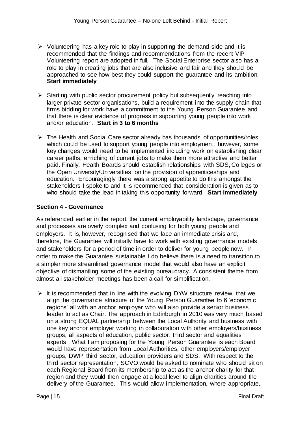- $\triangleright$  Volunteering has a key role to play in supporting the demand-side and it is recommended that the findings and recommendations from the recent VIP Volunteering report are adopted in full. The Social Enterprise sector also has a role to play in creating jobs that are also inclusive and fair and they should be approached to see how best they could support the guarantee and its ambition. **Start immediately**
- $\triangleright$  Starting with public sector procurement policy but subsequently reaching into larger private sector organisations, build a requirement into the supply chain that firms bidding for work have a commitment to the Young Person Guarantee and that there is clear evidence of progress in supporting young people into work and/or education. **Start in 3 to 6 months**
- $\triangleright$  The Health and Social Care sector already has thousands of opportunities/roles which could be used to support young people into employment, however, some key changes would need to be implemented including work on establishing clear career paths, enriching of current jobs to make them more attractive and better paid. Finally, Health Boards should establish relationships with SDS, Colleges or the Open University/Universities on the provision of apprenticeships and education. Encouragingly there was a strong appetite to do this amongst the stakeholders I spoke to and it is recommended that consideration is given as to who should take the lead in taking this opportunity forward. **Start immediately**

# **Section 4 - Governance**

As referenced earlier in the report, the current employability landscape, governance and processes are overly complex and confusing for both young people and employers. It is, however, recognised that we face an immediate crisis and, therefore, the Guarantee will initially have to work with existing governance models and stakeholders for a period of time in order to deliver for young people now. In order to make the Guarantee sustainable I do believe there is a need to transition to a simpler more streamlined governance model that would also have an explicit objective of dismantling some of the existing bureaucracy. A consistent theme from almost all stakeholder meetings has been a call for simplification.

 $\triangleright$  It is recommended that in line with the evolving DYW structure review, that we align the governance structure of the Young Person Guarantee to 6 'economic regions' all with an anchor employer who will also provide a senior business leader to act as Chair. The approach in Edinburgh in 2010 was very much based on a strong EQUAL partnership between the Local Authority and business with one key anchor employer working in collaboration with other employers/business groups, all aspects of education, public sector, third sector and equalities experts. What I am proposing for the Young Person Guarantee is each Board would have representation from Local Authorities, other employers/employer groups, DWP, third sector, education providers and SDS. With respect to the third sector representation, SCVO would be asked to nominate who should sit on each Regional Board from its membership to act as the anchor charity for that region and they would then engage at a local level to align charities around the delivery of the Guarantee. This would allow implementation, where appropriate,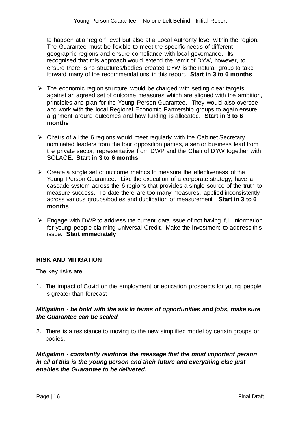to happen at a 'region' level but also at a Local Authority level within the region. The Guarantee must be flexible to meet the specific needs of different geographic regions and ensure compliance with local governance. Its recognised that this approach would extend the remit of DYW, however, to ensure there is no structures/bodies created DYW is the natural group to take forward many of the recommendations in this report. **Start in 3 to 6 months**

- $\triangleright$  The economic region structure would be charged with setting clear targets against an agreed set of outcome measures which are aligned with the ambition, principles and plan for the Young Person Guarantee. They would also oversee and work with the local Regional Economic Partnership groups to again ensure alignment around outcomes and how funding is allocated. **Start in 3 to 6 months**
- $\triangleright$  Chairs of all the 6 regions would meet regularly with the Cabinet Secretary, nominated leaders from the four opposition parties, a senior business lead from the private sector, representative from DWP and the Chair of DYW together with SOLACE. **Start in 3 to 6 months**
- $\triangleright$  Create a single set of outcome metrics to measure the effectiveness of the Young Person Guarantee. Like the execution of a corporate strategy, have a cascade system across the 6 regions that provides a single source of the truth to measure success. To date there are too many measures, applied inconsistently across various groups/bodies and duplication of measurement. **Start in 3 to 6 months**
- $\triangleright$  Engage with DWP to address the current data issue of not having full information for young people claiming Universal Credit. Make the investment to address this issue. **Start immediately**

# **RISK AND MITIGATION**

The key risks are:

1. The impact of Covid on the employment or education prospects for young people is greater than forecast

#### *Mitigation - be bold with the ask in terms of opportunities and jobs, make sure the Guarantee can be scaled.*

2. There is a resistance to moving to the new simplified model by certain groups or bodies.

*Mitigation - constantly reinforce the message that the most important person in all of this is the young person and their future and everything else just enables the Guarantee to be delivered.*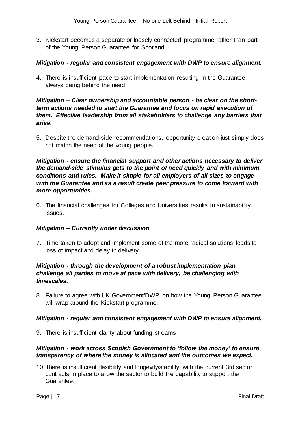3. Kickstart becomes a separate or loosely connected programme rather than part of the Young Person Guarantee for Scotland.

#### *Mitigation - regular and consistent engagement with DWP to ensure alignment.*

4. There is insufficient pace to start implementation resulting in the Guarantee always being behind the need.

# *Mitigation – Clear ownership and accountable person - be clear on the shortterm actions needed to start the Guarantee and focus on rapid execution of them. Effective leadership from all stakeholders to challenge any barriers that arise.*

5. Despite the demand-side recommendations, opportunity creation just simply does not match the need of the young people.

# *Mitigation - ensure the financial support and other actions necessary to deliver the demand-side stimulus gets to the point of need quickly and with minimum conditions and rules. Make it simple for all employers of all sizes to engage with the Guarantee and as a result create peer pressure to come forward with more opportunities.*

6. The financial challenges for Colleges and Universities results in sustainability issues.

#### *Mitigation – Currently under discussion*

7. Time taken to adopt and implement some of the more radical solutions leads to loss of impact and delay in delivery

# *Mitigation - through the development of a robust implementation plan challenge all parties to move at pace with delivery, be challenging with timescales.*

8. Failure to agree with UK Government/DWP on how the Young Person Guarantee will wrap around the Kickstart programme.

#### *Mitigation - regular and consistent engagement with DWP to ensure alignment.*

9. There is insufficient clarity about funding streams

#### *Mitigation - work across Scottish Government to 'follow the money' to ensure transparency of where the money is allocated and the outcomes we expect.*

10.There is insufficient flexibility and longevity/stability with the current 3rd sector contracts in place to allow the sector to build the capability to support the Guarantee.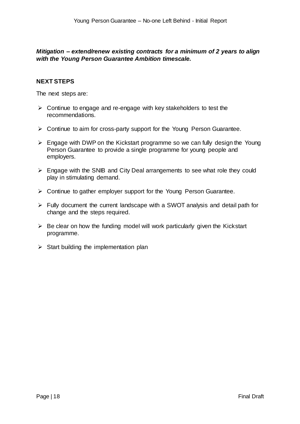*Mitigation – extend/renew existing contracts for a minimum of 2 years to align with the Young Person Guarantee Ambition timescale.*

#### **NEXT STEPS**

The next steps are:

- $\triangleright$  Continue to engage and re-engage with key stakeholders to test the recommendations.
- $\triangleright$  Continue to aim for cross-party support for the Young Person Guarantee.
- $\triangleright$  Engage with DWP on the Kickstart programme so we can fully design the Young Person Guarantee to provide a single programme for young people and employers.
- $\triangleright$  Engage with the SNIB and City Deal arrangements to see what role they could play in stimulating demand.
- $\triangleright$  Continue to gather employer support for the Young Person Guarantee.
- $\triangleright$  Fully document the current landscape with a SWOT analysis and detail path for change and the steps required.
- $\triangleright$  Be clear on how the funding model will work particularly given the Kickstart programme.
- $\triangleright$  Start building the implementation plan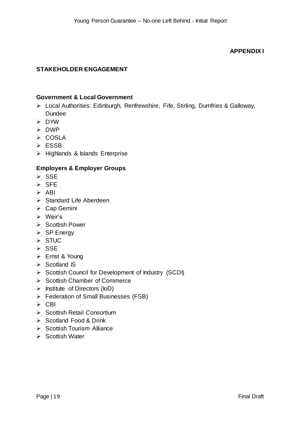# **APPENDIX I**

# **STAKEHOLDER ENGAGEMENT**

# **Government & Local Government**

- Local Authorities: Edinburgh, Renfrewshire, Fife, Stirling, Dumfries & Galloway, Dundee
- DYW
- > DWP
- $\triangleright$  COSLA
- ESSB
- $\triangleright$  Highlands & Islands Enterprise

# **Employers & Employer Groups**

- $\triangleright$  SSE
- $\triangleright$  SFE
- $\triangleright$  ABI
- $\triangleright$  Standard Life Aberdeen
- ▶ Cap Gemini
- Weir's
- $\triangleright$  Scottish Power
- $\triangleright$  SP Energy
- $\triangleright$  STUC
- **≻ SSE**
- Ernst & Young
- $\triangleright$  Scotland IS
- $\triangleright$  Scottish Council for Development of Industry (SCDI)
- $\triangleright$  Scottish Chamber of Commerce
- $\triangleright$  Institute of Directors (IoD)
- Federation of Small Businesses (FSB)
- $\triangleright$  CBI
- $\triangleright$  Scottish Retail Consortium
- $\triangleright$  Scotland Food & Drink
- $\triangleright$  Scottish Tourism Alliance
- $\triangleright$  Scottish Water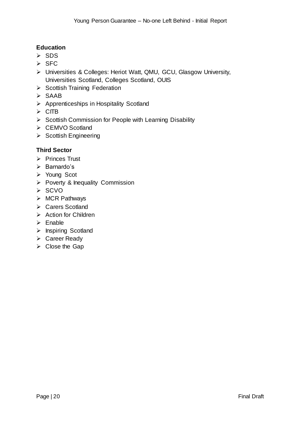# **Education**

- $\triangleright$  SDS
- $\triangleright$  SFC
- Universities & Colleges: Heriot Watt, QMU, GCU, Glasgow University, Universities Scotland, Colleges Scotland, OUIS
- $\triangleright$  Scottish Training Federation
- $\triangleright$  SAAB
- $\triangleright$  Apprenticeships in Hospitality Scotland
- $\triangleright$  CITB
- $\triangleright$  Scottish Commission for People with Learning Disability
- ▶ CEMVO Scotland
- $\triangleright$  Scottish Engineering

### **Third Sector**

- $\triangleright$  Princes Trust
- $\triangleright$  Barnardo's
- > Young Scot
- $\triangleright$  Poverty & Inequality Commission
- $\triangleright$  SCVO
- $\triangleright$  MCR Pathways
- ▶ Carers Scotland
- $\triangleright$  Action for Children
- $\triangleright$  Enable
- $\triangleright$  Inspiring Scotland
- Career Ready
- $\triangleright$  Close the Gap